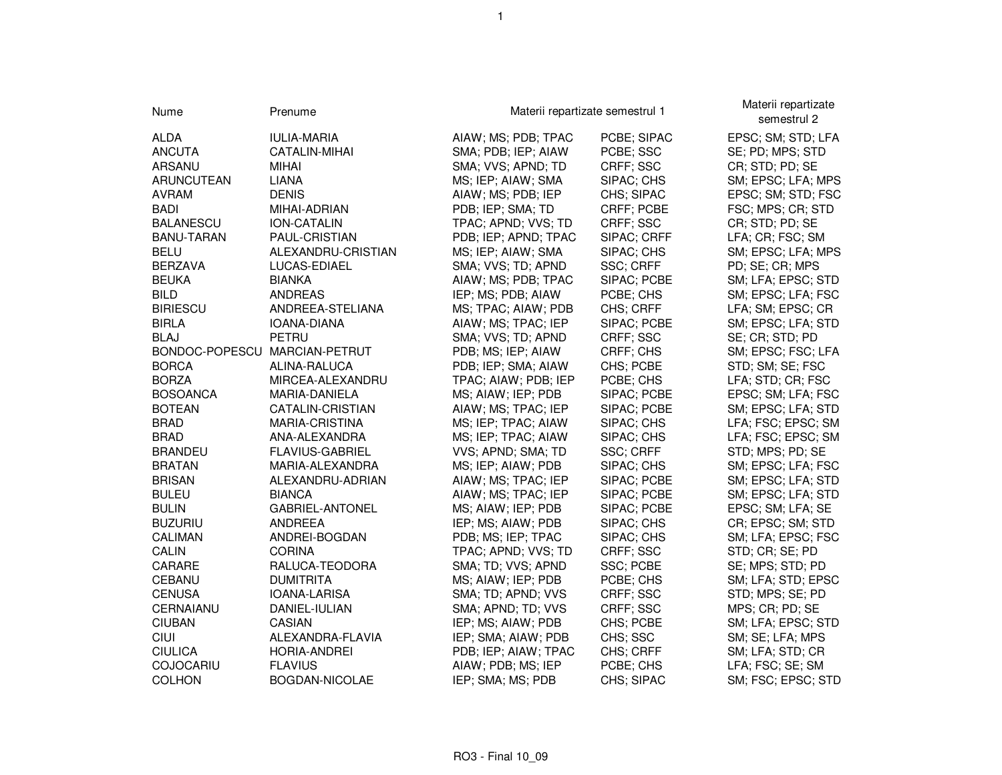| Nume                          | Prenume            | Materii repartizate semestrul 1 |             | Materii repartizate<br>semestrul 2 |  |
|-------------------------------|--------------------|---------------------------------|-------------|------------------------------------|--|
| <b>ALDA</b>                   | <b>IULIA-MARIA</b> | AIAW; MS; PDB; TPAC             | PCBE; SIPAC | EPSC; SM; STD; LFA                 |  |
| <b>ANCUTA</b>                 | CATALIN-MIHAI      | SMA; PDB; IEP; AIAW             | PCBE; SSC   | SE; PD; MPS; STD                   |  |
| ARSANU                        | <b>MIHAI</b>       | SMA; VVS; APND; TD              | CRFF; SSC   | CR; STD; PD; SE                    |  |
| ARUNCUTEAN                    | LIANA              | MS; IEP; AIAW; SMA              | SIPAC; CHS  | SM; EPSC; LFA; MPS                 |  |
| <b>AVRAM</b>                  | <b>DENIS</b>       | AIAW; MS; PDB; IEP              | CHS; SIPAC  | EPSC; SM; STD; FSC                 |  |
| <b>BADI</b>                   | MIHAI-ADRIAN       | PDB; IEP; SMA; TD               | CRFF; PCBE  | FSC; MPS; CR; STD                  |  |
| <b>BALANESCU</b>              | ION-CATALIN        | TPAC; APND; VVS; TD             | CRFF; SSC   | CR; STD; PD; SE                    |  |
| <b>BANU-TARAN</b>             | PAUL-CRISTIAN      | PDB; IEP; APND; TPAC            | SIPAC; CRFF | LFA; CR; FSC; SM                   |  |
| <b>BELU</b>                   | ALEXANDRU-CRISTIAN | MS; IEP; AIAW; SMA              | SIPAC; CHS  | SM; EPSC; LFA; MPS                 |  |
| <b>BERZAVA</b>                | LUCAS-EDIAEL       | SMA; VVS; TD; APND              | SSC; CRFF   | PD; SE; CR; MPS                    |  |
| <b>BEUKA</b>                  | <b>BIANKA</b>      | AIAW; MS; PDB; TPAC             | SIPAC; PCBE | SM; LFA; EPSC; STD                 |  |
| <b>BILD</b>                   | ANDREAS            | IEP; MS; PDB; AIAW              | PCBE; CHS   | SM; EPSC; LFA; FSC                 |  |
| <b>BIRIESCU</b>               | ANDREEA-STELIANA   | MS; TPAC; AIAW; PDB             | CHS; CRFF   | LFA; SM; EPSC; CR                  |  |
| <b>BIRLA</b>                  | IOANA-DIANA        | AIAW; MS; TPAC; IEP             | SIPAC; PCBE | SM; EPSC; LFA; STD                 |  |
| <b>BLAJ</b>                   | <b>PETRU</b>       | SMA; VVS; TD; APND              | CRFF; SSC   | SE; CR; STD; PD                    |  |
| BONDOC-POPESCU MARCIAN-PETRUT |                    | PDB; MS; IEP; AIAW              | CRFF; CHS   | SM; EPSC; FSC; LFA                 |  |
| <b>BORCA</b>                  | ALINA-RALUCA       | PDB; IEP; SMA; AIAW             | CHS; PCBE   | STD; SM; SE; FSC                   |  |
| <b>BORZA</b>                  | MIRCEA-ALEXANDRU   | TPAC; AIAW; PDB; IEP            | PCBE; CHS   | LFA; STD; CR; FSC                  |  |
| <b>BOSOANCA</b>               | MARIA-DANIELA      | MS; AIAW; IEP; PDB              | SIPAC; PCBE | EPSC; SM; LFA; FSC                 |  |
| <b>BOTEAN</b>                 | CATALIN-CRISTIAN   | AIAW; MS; TPAC; IEP             | SIPAC; PCBE | SM; EPSC; LFA; STD                 |  |
| <b>BRAD</b>                   | MARIA-CRISTINA     | MS; IEP; TPAC; AIAW             | SIPAC; CHS  | LFA; FSC; EPSC; SM                 |  |
| <b>BRAD</b>                   | ANA-ALEXANDRA      | MS; IEP; TPAC; AIAW             | SIPAC; CHS  | LFA; FSC; EPSC; SM                 |  |
| <b>BRANDEU</b>                | FLAVIUS-GABRIEL    | VVS; APND; SMA; TD              | SSC; CRFF   | STD; MPS; PD; SE                   |  |
| <b>BRATAN</b>                 | MARIA-ALEXANDRA    | MS; IEP; AIAW; PDB              | SIPAC; CHS  | SM; EPSC; LFA; FSC                 |  |
| <b>BRISAN</b>                 | ALEXANDRU-ADRIAN   | AIAW; MS; TPAC; IEP             | SIPAC; PCBE | SM; EPSC; LFA; STD                 |  |
| <b>BULEU</b>                  | <b>BIANCA</b>      | AIAW; MS; TPAC; IEP             | SIPAC; PCBE | SM; EPSC; LFA; STD                 |  |
| <b>BULIN</b>                  | GABRIEL-ANTONEL    | MS; AIAW; IEP; PDB              | SIPAC; PCBE | EPSC; SM; LFA; SE                  |  |
| <b>BUZURIU</b>                | ANDREEA            | IEP; MS; AIAW; PDB              | SIPAC; CHS  | CR; EPSC; SM; STD                  |  |
| <b>CALIMAN</b>                | ANDREI-BOGDAN      | PDB; MS; IEP; TPAC              | SIPAC; CHS  | SM; LFA; EPSC; FSC                 |  |
| CALIN                         | <b>CORINA</b>      | TPAC; APND; VVS; TD             | CRFF; SSC   | STD; CR; SE; PD                    |  |
| CARARE                        | RALUCA-TEODORA     | SMA; TD; VVS; APND              | SSC; PCBE   | SE; MPS; STD; PD                   |  |
| CEBANU                        | <b>DUMITRITA</b>   | MS; AIAW; IEP; PDB              | PCBE; CHS   | SM; LFA; STD; EPSC                 |  |
| <b>CENUSA</b>                 | IOANA-LARISA       | SMA; TD; APND; VVS              | CRFF; SSC   | STD; MPS; SE; PD                   |  |
| CERNAIANU                     | DANIEL-IULIAN      | SMA; APND; TD; VVS              | CRFF; SSC   | MPS; CR; PD; SE                    |  |
| <b>CIUBAN</b>                 | CASIAN             | IEP; MS; AIAW; PDB              | CHS; PCBE   | SM; LFA; EPSC; STD                 |  |
| CIUI                          | ALEXANDRA-FLAVIA   | IEP; SMA; AIAW; PDB             | CHS; SSC    | SM; SE; LFA; MPS                   |  |
| <b>CIULICA</b>                | HORIA-ANDREI       | PDB; IEP; AIAW; TPAC            | CHS; CRFF   | SM; LFA; STD; CR                   |  |
| <b>COJOCARIU</b>              | <b>FLAVIUS</b>     | AIAW; PDB; MS; IEP              | PCBE; CHS   | LFA; FSC; SE; SM                   |  |
| <b>COLHON</b>                 | BOGDAN-NICOLAE     | IEP; SMA; MS; PDB               | CHS; SIPAC  | SM; FSC; EPSC; STD                 |  |

1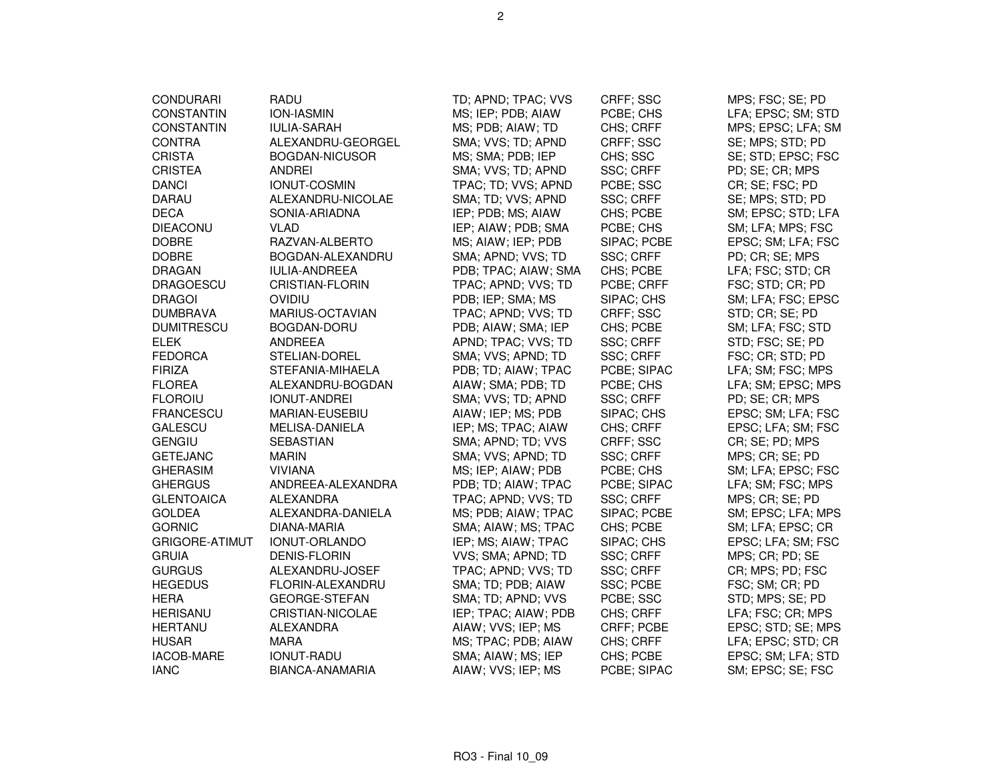| <b>CONDURARI</b>      | RADU                   | TD; APND; TPAC; VVS  | CRFF; SSC        | MPS; FSC; SE; PD   |
|-----------------------|------------------------|----------------------|------------------|--------------------|
| <b>CONSTANTIN</b>     | <b>ION-IASMIN</b>      | MS; IEP; PDB; AIAW   | PCBE; CHS        | LFA; EPSC; SM; STD |
| <b>CONSTANTIN</b>     | <b>IULIA-SARAH</b>     | MS; PDB; AIAW; TD    | CHS; CRFF        | MPS; EPSC; LFA; SM |
| <b>CONTRA</b>         | ALEXANDRU-GEORGEL      | SMA; VVS; TD; APND   | CRFF; SSC        | SE; MPS; STD; PD   |
| <b>CRISTA</b>         | <b>BOGDAN-NICUSOR</b>  | MS; SMA; PDB; IEP    | CHS; SSC         | SE; STD; EPSC; FSC |
| <b>CRISTEA</b>        | <b>ANDREI</b>          | SMA; VVS; TD; APND   | SSC; CRFF        | PD; SE; CR; MPS    |
| <b>DANCI</b>          | <b>IONUT-COSMIN</b>    | TPAC; TD; VVS; APND  | PCBE; SSC        | CR; SE; FSC; PD    |
| <b>DARAU</b>          | ALEXANDRU-NICOLAE      | SMA; TD; VVS; APND   | SSC; CRFF        | SE; MPS; STD; PD   |
| <b>DECA</b>           | SONIA-ARIADNA          | IEP; PDB; MS; AIAW   | CHS; PCBE        | SM; EPSC; STD; LFA |
| <b>DIEACONU</b>       | VLAD                   | IEP; AIAW; PDB; SMA  | PCBE; CHS        | SM; LFA; MPS; FSC  |
| <b>DOBRE</b>          | RAZVAN-ALBERTO         | MS; AIAW; IEP; PDB   | SIPAC; PCBE      | EPSC; SM; LFA; FSC |
| <b>DOBRE</b>          | BOGDAN-ALEXANDRU       | SMA; APND; VVS; TD   | SSC; CRFF        | PD; CR; SE; MPS    |
| <b>DRAGAN</b>         | <b>IULIA-ANDREEA</b>   | PDB; TPAC; AIAW; SMA | CHS; PCBE        | LFA; FSC; STD; CR  |
| <b>DRAGOESCU</b>      | <b>CRISTIAN-FLORIN</b> | TPAC; APND; VVS; TD  | PCBE; CRFF       | FSC; STD; CR; PD   |
| <b>DRAGOI</b>         | <b>OVIDIU</b>          | PDB; IEP; SMA; MS    | SIPAC; CHS       | SM; LFA; FSC; EPSC |
| <b>DUMBRAVA</b>       | MARIUS-OCTAVIAN        | TPAC; APND; VVS; TD  | CRFF; SSC        | STD; CR; SE; PD    |
| <b>DUMITRESCU</b>     | BOGDAN-DORU            | PDB; AIAW; SMA; IEP  | CHS; PCBE        | SM; LFA; FSC; STD  |
| <b>ELEK</b>           | ANDREEA                | APND; TPAC; VVS; TD  | SSC; CRFF        | STD; FSC; SE; PD   |
| <b>FEDORCA</b>        | STELIAN-DOREL          | SMA; VVS; APND; TD   | SSC; CRFF        | FSC; CR; STD; PD   |
| <b>FIRIZA</b>         | STEFANIA-MIHAELA       | PDB; TD; AIAW; TPAC  | PCBE; SIPAC      | LFA; SM; FSC; MPS  |
| <b>FLOREA</b>         | ALEXANDRU-BOGDAN       | AIAW; SMA; PDB; TD   | PCBE; CHS        | LFA; SM; EPSC; MPS |
| <b>FLOROIU</b>        | <b>IONUT-ANDREI</b>    | SMA; VVS; TD; APND   | <b>SSC; CRFF</b> | PD; SE; CR; MPS    |
| <b>FRANCESCU</b>      | MARIAN-EUSEBIU         | AIAW; IEP; MS; PDB   | SIPAC; CHS       | EPSC; SM; LFA; FSC |
| <b>GALESCU</b>        | MELISA-DANIELA         | IEP; MS; TPAC; AIAW  | CHS; CRFF        | EPSC; LFA; SM; FSC |
| <b>GENGIU</b>         | SEBASTIAN              | SMA; APND; TD; VVS   | CRFF; SSC        | CR; SE; PD; MPS    |
| <b>GETEJANC</b>       | <b>MARIN</b>           | SMA; VVS; APND; TD   | SSC; CRFF        | MPS; CR; SE; PD    |
| <b>GHERASIM</b>       | <b>VIVIANA</b>         | MS; IEP; AIAW; PDB   | PCBE; CHS        | SM; LFA; EPSC; FSC |
| <b>GHERGUS</b>        | ANDREEA-ALEXANDRA      | PDB; TD; AIAW; TPAC  | PCBE; SIPAC      | LFA; SM; FSC; MPS  |
| <b>GLENTOAICA</b>     | ALEXANDRA              | TPAC; APND; VVS; TD  | SSC; CRFF        | MPS; CR; SE; PD    |
| <b>GOLDEA</b>         | ALEXANDRA-DANIELA      | MS; PDB; AIAW; TPAC  | SIPAC; PCBE      | SM; EPSC; LFA; MPS |
| <b>GORNIC</b>         | DIANA-MARIA            | SMA; AIAW; MS; TPAC  | CHS; PCBE        | SM; LFA; EPSC; CR  |
| <b>GRIGORE-ATIMUT</b> | IONUT-ORLANDO          | IEP; MS; AIAW; TPAC  | SIPAC; CHS       | EPSC; LFA; SM; FSC |
| <b>GRUIA</b>          | <b>DENIS-FLORIN</b>    | VVS; SMA; APND; TD   | SSC; CRFF        | MPS; CR; PD; SE    |
| <b>GURGUS</b>         | ALEXANDRU-JOSEF        | TPAC; APND; VVS; TD  | SSC; CRFF        | CR; MPS; PD; FSC   |
| <b>HEGEDUS</b>        | FLORIN-ALEXANDRU       | SMA; TD; PDB; AIAW   | SSC; PCBE        | FSC; SM; CR; PD    |
| <b>HERA</b>           | <b>GEORGE-STEFAN</b>   | SMA; TD; APND; VVS   | PCBE; SSC        | STD; MPS; SE; PD   |
| <b>HERISANU</b>       | CRISTIAN-NICOLAE       | IEP; TPAC; AIAW; PDB | CHS; CRFF        | LFA; FSC; CR; MPS  |
| <b>HERTANU</b>        | <b>ALEXANDRA</b>       | AIAW; VVS; IEP; MS   | CRFF; PCBE       | EPSC; STD; SE; MPS |
| <b>HUSAR</b>          | <b>MARA</b>            | MS; TPAC; PDB; AIAW  | CHS; CRFF        | LFA; EPSC; STD; CR |
| IACOB-MARE            | <b>IONUT-RADU</b>      | SMA; AIAW; MS; IEP   | CHS; PCBE        | EPSC; SM; LFA; STD |
| <b>IANC</b>           | BIANCA-ANAMARIA        | AIAW; VVS; IEP; MS   | PCBE; SIPAC      | SM; EPSC; SE; FSC  |
|                       |                        |                      |                  |                    |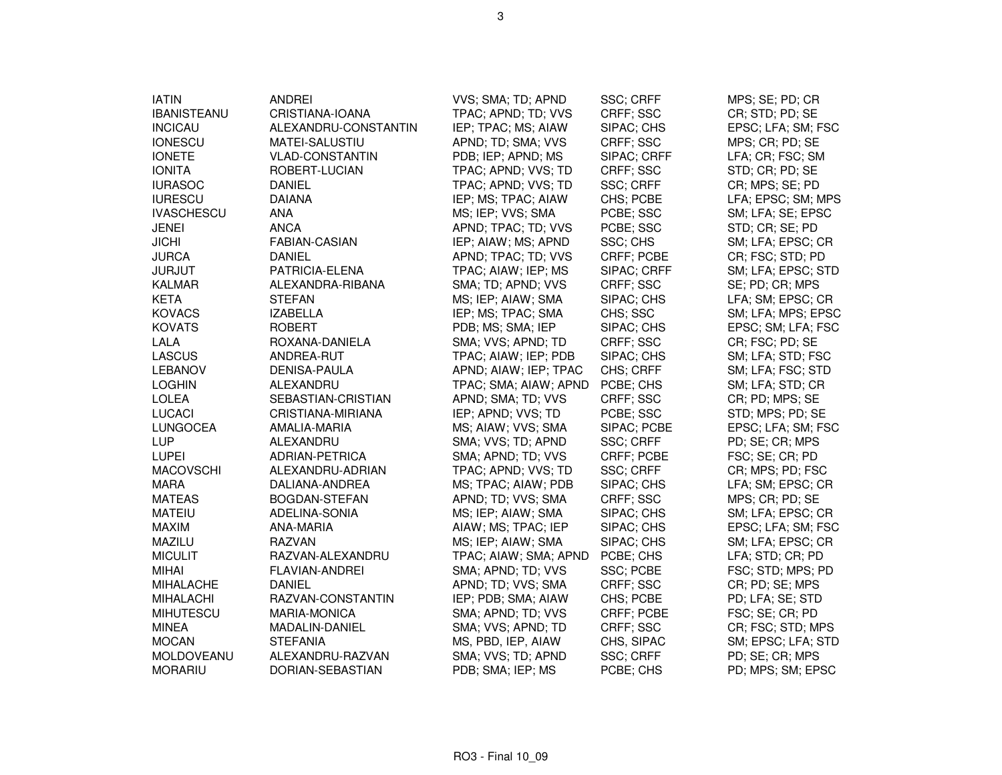| <b>ANDREI</b><br>VVS; SMA; TD; APND<br>SSC; CRFF<br>MPS; SE; PD; CR<br><b>IBANISTEANU</b><br>TPAC; APND; TD; VVS<br>CRFF; SSC<br>CR; STD; PD; SE<br>CRISTIANA-IOANA<br><b>INCICAU</b><br>IEP; TPAC; MS; AIAW<br>EPSC; LFA; SM; FSC<br>ALEXANDRU-CONSTANTIN<br>SIPAC; CHS<br>APND; TD; SMA; VVS<br>MPS; CR; PD; SE<br>MATEI-SALUSTIU<br>CRFF; SSC<br>PDB; IEP; APND; MS<br><b>VLAD-CONSTANTIN</b><br>SIPAC; CRFF<br>LFA; CR; FSC; SM<br><b>IONITA</b><br>TPAC; APND; VVS; TD<br>CRFF; SSC<br>STD; CR; PD; SE<br>ROBERT-LUCIAN<br>TPAC; APND; VVS; TD<br><b>SSC; CRFF</b><br>CR; MPS; SE; PD<br>DANIEL<br><b>DAIANA</b><br>IEP; MS; TPAC; AIAW<br>LFA; EPSC; SM; MPS<br>CHS; PCBE<br><b>ANA</b><br>MS; IEP; VVS; SMA<br>PCBE; SSC<br>SM; LFA; SE; EPSC<br><b>ANCA</b><br>JENEI<br>APND; TPAC; TD; VVS<br>PCBE; SSC<br>STD; CR; SE; PD<br>SSC; CHS<br>FABIAN-CASIAN<br>IEP; AIAW; MS; APND<br>SM; LFA; EPSC; CR<br>APND; TPAC; TD; VVS<br>CR; FSC; STD; PD<br>DANIEL<br><b>CRFF: PCBE</b><br>PATRICIA-ELENA<br>TPAC; AIAW; IEP; MS<br>SIPAC; CRFF<br>SM; LFA; EPSC; STD<br>SMA; TD; APND; VVS<br>KALMAR<br>ALEXANDRA-RIBANA<br>CRFF; SSC<br>SE; PD; CR; MPS<br><b>STEFAN</b><br>MS; IEP; AIAW; SMA<br>SIPAC; CHS<br>LFA; SM; EPSC; CR<br><b>IZABELLA</b><br>IEP; MS; TPAC; SMA<br>CHS; SSC<br>SM; LFA; MPS; EPSC<br><b>ROBERT</b><br>PDB; MS; SMA; IEP<br>SIPAC; CHS<br>EPSC; SM; LFA; FSC<br>SMA; VVS; APND; TD<br>CRFF; SSC<br>ROXANA-DANIELA<br>CR; FSC; PD; SE<br><b>LASCUS</b><br>TPAC; AIAW; IEP; PDB<br>SIPAC; CHS<br>SM; LFA; STD; FSC<br>ANDREA-RUT<br><b>DENISA-PAULA</b><br>APND; AIAW; IEP; TPAC<br>CHS; CRFF<br>SM; LFA; FSC; STD<br>SM; LFA; STD; CR<br>ALEXANDRU<br>TPAC; SMA; AIAW; APND<br>PCBE; CHS<br><b>LOLEA</b><br>CRFF; SSC<br>CR; PD; MPS; SE<br>SEBASTIAN-CRISTIAN<br>APND; SMA; TD; VVS<br><b>LUCACI</b><br>IEP; APND; VVS; TD<br>STD; MPS; PD; SE<br>CRISTIANA-MIRIANA<br>PCBE; SSC<br><b>LUNGOCEA</b><br>MS; AIAW; VVS; SMA<br>EPSC; LFA; SM; FSC<br>AMALIA-MARIA<br>SIPAC; PCBE<br>LUP<br>ALEXANDRU<br>SMA; VVS; TD; APND<br>SSC; CRFF<br>PD; SE; CR; MPS<br>FSC; SE; CR; PD<br><b>LUPEI</b><br>ADRIAN-PETRICA<br>SMA; APND; TD; VVS<br>CRFF; PCBE<br><b>MACOVSCHI</b><br><b>SSC: CRFF</b><br>CR; MPS; PD; FSC<br>ALEXANDRU-ADRIAN<br>TPAC; APND; VVS; TD<br><b>MARA</b><br>DALIANA-ANDREA<br>MS; TPAC; AIAW; PDB<br>SIPAC; CHS<br>LFA; SM; EPSC; CR<br><b>MATEAS</b><br>CRFF; SSC<br>MPS; CR; PD; SE<br>BOGDAN-STEFAN<br>APND; TD; VVS; SMA<br><b>MATEIU</b><br>ADELINA-SONIA<br>MS; IEP; AIAW; SMA<br>SIPAC; CHS<br>SM; LFA; EPSC; CR<br><b>MAXIM</b><br>EPSC; LFA; SM; FSC<br>ANA-MARIA<br>AIAW; MS; TPAC; IEP<br>SIPAC; CHS<br>SIPAC; CHS<br>SM; LFA; EPSC; CR<br>MAZILU<br><b>RAZVAN</b><br>MS; IEP; AIAW; SMA<br><b>MICULIT</b><br>PCBE; CHS<br>LFA; STD; CR; PD<br>RAZVAN-ALEXANDRU<br>TPAC; AIAW; SMA; APND<br><b>MIHAI</b><br><b>FLAVIAN-ANDREI</b><br>SMA; APND; TD; VVS<br>SSC; PCBE<br>FSC; STD; MPS; PD<br><b>DANIEL</b><br>APND; TD; VVS; SMA<br>CR; PD; SE; MPS<br><b>MIHALACHE</b><br>CRFF; SSC<br>RAZVAN-CONSTANTIN<br>IEP; PDB; SMA; AIAW<br>CHS; PCBE<br>PD; LFA; SE; STD<br>FSC; SE; CR; PD<br><b>MIHUTESCU</b><br><b>MARIA-MONICA</b><br>SMA; APND; TD; VVS<br>CRFF; PCBE<br><b>MINEA</b><br>SMA; VVS; APND; TD<br>CRFF; SSC<br>CR; FSC; STD; MPS<br>MADALIN-DANIEL<br><b>MOCAN</b><br><b>STEFANIA</b><br>MS, PBD, IEP, AIAW<br>CHS, SIPAC<br>SM; EPSC; LFA; STD<br>MOLDOVEANU<br>SMA; VVS; TD; APND<br>SSC; CRFF<br>PD; SE; CR; MPS<br>ALEXANDRU-RAZVAN<br>PDB; SMA; IEP; MS<br>PCBE; CHS<br>PD; MPS; SM; EPSC<br>DORIAN-SEBASTIAN |                   |  |  |
|------------------------------------------------------------------------------------------------------------------------------------------------------------------------------------------------------------------------------------------------------------------------------------------------------------------------------------------------------------------------------------------------------------------------------------------------------------------------------------------------------------------------------------------------------------------------------------------------------------------------------------------------------------------------------------------------------------------------------------------------------------------------------------------------------------------------------------------------------------------------------------------------------------------------------------------------------------------------------------------------------------------------------------------------------------------------------------------------------------------------------------------------------------------------------------------------------------------------------------------------------------------------------------------------------------------------------------------------------------------------------------------------------------------------------------------------------------------------------------------------------------------------------------------------------------------------------------------------------------------------------------------------------------------------------------------------------------------------------------------------------------------------------------------------------------------------------------------------------------------------------------------------------------------------------------------------------------------------------------------------------------------------------------------------------------------------------------------------------------------------------------------------------------------------------------------------------------------------------------------------------------------------------------------------------------------------------------------------------------------------------------------------------------------------------------------------------------------------------------------------------------------------------------------------------------------------------------------------------------------------------------------------------------------------------------------------------------------------------------------------------------------------------------------------------------------------------------------------------------------------------------------------------------------------------------------------------------------------------------------------------------------------------------------------------------------------------------------------------------------------------------------------------------------------------------------------------------------------------------------------------------------------------------------------------------------------------------------------------------------------------------------------------------------------------------------------------------------------------------------------------------------------------------------------------------------------------------|-------------------|--|--|
|                                                                                                                                                                                                                                                                                                                                                                                                                                                                                                                                                                                                                                                                                                                                                                                                                                                                                                                                                                                                                                                                                                                                                                                                                                                                                                                                                                                                                                                                                                                                                                                                                                                                                                                                                                                                                                                                                                                                                                                                                                                                                                                                                                                                                                                                                                                                                                                                                                                                                                                                                                                                                                                                                                                                                                                                                                                                                                                                                                                                                                                                                                                                                                                                                                                                                                                                                                                                                                                                                                                                                                                    | <b>IATIN</b>      |  |  |
|                                                                                                                                                                                                                                                                                                                                                                                                                                                                                                                                                                                                                                                                                                                                                                                                                                                                                                                                                                                                                                                                                                                                                                                                                                                                                                                                                                                                                                                                                                                                                                                                                                                                                                                                                                                                                                                                                                                                                                                                                                                                                                                                                                                                                                                                                                                                                                                                                                                                                                                                                                                                                                                                                                                                                                                                                                                                                                                                                                                                                                                                                                                                                                                                                                                                                                                                                                                                                                                                                                                                                                                    |                   |  |  |
|                                                                                                                                                                                                                                                                                                                                                                                                                                                                                                                                                                                                                                                                                                                                                                                                                                                                                                                                                                                                                                                                                                                                                                                                                                                                                                                                                                                                                                                                                                                                                                                                                                                                                                                                                                                                                                                                                                                                                                                                                                                                                                                                                                                                                                                                                                                                                                                                                                                                                                                                                                                                                                                                                                                                                                                                                                                                                                                                                                                                                                                                                                                                                                                                                                                                                                                                                                                                                                                                                                                                                                                    |                   |  |  |
|                                                                                                                                                                                                                                                                                                                                                                                                                                                                                                                                                                                                                                                                                                                                                                                                                                                                                                                                                                                                                                                                                                                                                                                                                                                                                                                                                                                                                                                                                                                                                                                                                                                                                                                                                                                                                                                                                                                                                                                                                                                                                                                                                                                                                                                                                                                                                                                                                                                                                                                                                                                                                                                                                                                                                                                                                                                                                                                                                                                                                                                                                                                                                                                                                                                                                                                                                                                                                                                                                                                                                                                    | <b>IONESCU</b>    |  |  |
|                                                                                                                                                                                                                                                                                                                                                                                                                                                                                                                                                                                                                                                                                                                                                                                                                                                                                                                                                                                                                                                                                                                                                                                                                                                                                                                                                                                                                                                                                                                                                                                                                                                                                                                                                                                                                                                                                                                                                                                                                                                                                                                                                                                                                                                                                                                                                                                                                                                                                                                                                                                                                                                                                                                                                                                                                                                                                                                                                                                                                                                                                                                                                                                                                                                                                                                                                                                                                                                                                                                                                                                    | <b>IONETE</b>     |  |  |
|                                                                                                                                                                                                                                                                                                                                                                                                                                                                                                                                                                                                                                                                                                                                                                                                                                                                                                                                                                                                                                                                                                                                                                                                                                                                                                                                                                                                                                                                                                                                                                                                                                                                                                                                                                                                                                                                                                                                                                                                                                                                                                                                                                                                                                                                                                                                                                                                                                                                                                                                                                                                                                                                                                                                                                                                                                                                                                                                                                                                                                                                                                                                                                                                                                                                                                                                                                                                                                                                                                                                                                                    |                   |  |  |
|                                                                                                                                                                                                                                                                                                                                                                                                                                                                                                                                                                                                                                                                                                                                                                                                                                                                                                                                                                                                                                                                                                                                                                                                                                                                                                                                                                                                                                                                                                                                                                                                                                                                                                                                                                                                                                                                                                                                                                                                                                                                                                                                                                                                                                                                                                                                                                                                                                                                                                                                                                                                                                                                                                                                                                                                                                                                                                                                                                                                                                                                                                                                                                                                                                                                                                                                                                                                                                                                                                                                                                                    | <b>IURASOC</b>    |  |  |
|                                                                                                                                                                                                                                                                                                                                                                                                                                                                                                                                                                                                                                                                                                                                                                                                                                                                                                                                                                                                                                                                                                                                                                                                                                                                                                                                                                                                                                                                                                                                                                                                                                                                                                                                                                                                                                                                                                                                                                                                                                                                                                                                                                                                                                                                                                                                                                                                                                                                                                                                                                                                                                                                                                                                                                                                                                                                                                                                                                                                                                                                                                                                                                                                                                                                                                                                                                                                                                                                                                                                                                                    | <b>IURESCU</b>    |  |  |
|                                                                                                                                                                                                                                                                                                                                                                                                                                                                                                                                                                                                                                                                                                                                                                                                                                                                                                                                                                                                                                                                                                                                                                                                                                                                                                                                                                                                                                                                                                                                                                                                                                                                                                                                                                                                                                                                                                                                                                                                                                                                                                                                                                                                                                                                                                                                                                                                                                                                                                                                                                                                                                                                                                                                                                                                                                                                                                                                                                                                                                                                                                                                                                                                                                                                                                                                                                                                                                                                                                                                                                                    | <b>IVASCHESCU</b> |  |  |
|                                                                                                                                                                                                                                                                                                                                                                                                                                                                                                                                                                                                                                                                                                                                                                                                                                                                                                                                                                                                                                                                                                                                                                                                                                                                                                                                                                                                                                                                                                                                                                                                                                                                                                                                                                                                                                                                                                                                                                                                                                                                                                                                                                                                                                                                                                                                                                                                                                                                                                                                                                                                                                                                                                                                                                                                                                                                                                                                                                                                                                                                                                                                                                                                                                                                                                                                                                                                                                                                                                                                                                                    |                   |  |  |
|                                                                                                                                                                                                                                                                                                                                                                                                                                                                                                                                                                                                                                                                                                                                                                                                                                                                                                                                                                                                                                                                                                                                                                                                                                                                                                                                                                                                                                                                                                                                                                                                                                                                                                                                                                                                                                                                                                                                                                                                                                                                                                                                                                                                                                                                                                                                                                                                                                                                                                                                                                                                                                                                                                                                                                                                                                                                                                                                                                                                                                                                                                                                                                                                                                                                                                                                                                                                                                                                                                                                                                                    | <b>JICHI</b>      |  |  |
|                                                                                                                                                                                                                                                                                                                                                                                                                                                                                                                                                                                                                                                                                                                                                                                                                                                                                                                                                                                                                                                                                                                                                                                                                                                                                                                                                                                                                                                                                                                                                                                                                                                                                                                                                                                                                                                                                                                                                                                                                                                                                                                                                                                                                                                                                                                                                                                                                                                                                                                                                                                                                                                                                                                                                                                                                                                                                                                                                                                                                                                                                                                                                                                                                                                                                                                                                                                                                                                                                                                                                                                    | <b>JURCA</b>      |  |  |
|                                                                                                                                                                                                                                                                                                                                                                                                                                                                                                                                                                                                                                                                                                                                                                                                                                                                                                                                                                                                                                                                                                                                                                                                                                                                                                                                                                                                                                                                                                                                                                                                                                                                                                                                                                                                                                                                                                                                                                                                                                                                                                                                                                                                                                                                                                                                                                                                                                                                                                                                                                                                                                                                                                                                                                                                                                                                                                                                                                                                                                                                                                                                                                                                                                                                                                                                                                                                                                                                                                                                                                                    | <b>JURJUT</b>     |  |  |
|                                                                                                                                                                                                                                                                                                                                                                                                                                                                                                                                                                                                                                                                                                                                                                                                                                                                                                                                                                                                                                                                                                                                                                                                                                                                                                                                                                                                                                                                                                                                                                                                                                                                                                                                                                                                                                                                                                                                                                                                                                                                                                                                                                                                                                                                                                                                                                                                                                                                                                                                                                                                                                                                                                                                                                                                                                                                                                                                                                                                                                                                                                                                                                                                                                                                                                                                                                                                                                                                                                                                                                                    |                   |  |  |
|                                                                                                                                                                                                                                                                                                                                                                                                                                                                                                                                                                                                                                                                                                                                                                                                                                                                                                                                                                                                                                                                                                                                                                                                                                                                                                                                                                                                                                                                                                                                                                                                                                                                                                                                                                                                                                                                                                                                                                                                                                                                                                                                                                                                                                                                                                                                                                                                                                                                                                                                                                                                                                                                                                                                                                                                                                                                                                                                                                                                                                                                                                                                                                                                                                                                                                                                                                                                                                                                                                                                                                                    | <b>KETA</b>       |  |  |
|                                                                                                                                                                                                                                                                                                                                                                                                                                                                                                                                                                                                                                                                                                                                                                                                                                                                                                                                                                                                                                                                                                                                                                                                                                                                                                                                                                                                                                                                                                                                                                                                                                                                                                                                                                                                                                                                                                                                                                                                                                                                                                                                                                                                                                                                                                                                                                                                                                                                                                                                                                                                                                                                                                                                                                                                                                                                                                                                                                                                                                                                                                                                                                                                                                                                                                                                                                                                                                                                                                                                                                                    | <b>KOVACS</b>     |  |  |
|                                                                                                                                                                                                                                                                                                                                                                                                                                                                                                                                                                                                                                                                                                                                                                                                                                                                                                                                                                                                                                                                                                                                                                                                                                                                                                                                                                                                                                                                                                                                                                                                                                                                                                                                                                                                                                                                                                                                                                                                                                                                                                                                                                                                                                                                                                                                                                                                                                                                                                                                                                                                                                                                                                                                                                                                                                                                                                                                                                                                                                                                                                                                                                                                                                                                                                                                                                                                                                                                                                                                                                                    | <b>KOVATS</b>     |  |  |
|                                                                                                                                                                                                                                                                                                                                                                                                                                                                                                                                                                                                                                                                                                                                                                                                                                                                                                                                                                                                                                                                                                                                                                                                                                                                                                                                                                                                                                                                                                                                                                                                                                                                                                                                                                                                                                                                                                                                                                                                                                                                                                                                                                                                                                                                                                                                                                                                                                                                                                                                                                                                                                                                                                                                                                                                                                                                                                                                                                                                                                                                                                                                                                                                                                                                                                                                                                                                                                                                                                                                                                                    | LALA              |  |  |
|                                                                                                                                                                                                                                                                                                                                                                                                                                                                                                                                                                                                                                                                                                                                                                                                                                                                                                                                                                                                                                                                                                                                                                                                                                                                                                                                                                                                                                                                                                                                                                                                                                                                                                                                                                                                                                                                                                                                                                                                                                                                                                                                                                                                                                                                                                                                                                                                                                                                                                                                                                                                                                                                                                                                                                                                                                                                                                                                                                                                                                                                                                                                                                                                                                                                                                                                                                                                                                                                                                                                                                                    |                   |  |  |
|                                                                                                                                                                                                                                                                                                                                                                                                                                                                                                                                                                                                                                                                                                                                                                                                                                                                                                                                                                                                                                                                                                                                                                                                                                                                                                                                                                                                                                                                                                                                                                                                                                                                                                                                                                                                                                                                                                                                                                                                                                                                                                                                                                                                                                                                                                                                                                                                                                                                                                                                                                                                                                                                                                                                                                                                                                                                                                                                                                                                                                                                                                                                                                                                                                                                                                                                                                                                                                                                                                                                                                                    | <b>LEBANOV</b>    |  |  |
|                                                                                                                                                                                                                                                                                                                                                                                                                                                                                                                                                                                                                                                                                                                                                                                                                                                                                                                                                                                                                                                                                                                                                                                                                                                                                                                                                                                                                                                                                                                                                                                                                                                                                                                                                                                                                                                                                                                                                                                                                                                                                                                                                                                                                                                                                                                                                                                                                                                                                                                                                                                                                                                                                                                                                                                                                                                                                                                                                                                                                                                                                                                                                                                                                                                                                                                                                                                                                                                                                                                                                                                    | <b>LOGHIN</b>     |  |  |
|                                                                                                                                                                                                                                                                                                                                                                                                                                                                                                                                                                                                                                                                                                                                                                                                                                                                                                                                                                                                                                                                                                                                                                                                                                                                                                                                                                                                                                                                                                                                                                                                                                                                                                                                                                                                                                                                                                                                                                                                                                                                                                                                                                                                                                                                                                                                                                                                                                                                                                                                                                                                                                                                                                                                                                                                                                                                                                                                                                                                                                                                                                                                                                                                                                                                                                                                                                                                                                                                                                                                                                                    |                   |  |  |
|                                                                                                                                                                                                                                                                                                                                                                                                                                                                                                                                                                                                                                                                                                                                                                                                                                                                                                                                                                                                                                                                                                                                                                                                                                                                                                                                                                                                                                                                                                                                                                                                                                                                                                                                                                                                                                                                                                                                                                                                                                                                                                                                                                                                                                                                                                                                                                                                                                                                                                                                                                                                                                                                                                                                                                                                                                                                                                                                                                                                                                                                                                                                                                                                                                                                                                                                                                                                                                                                                                                                                                                    |                   |  |  |
|                                                                                                                                                                                                                                                                                                                                                                                                                                                                                                                                                                                                                                                                                                                                                                                                                                                                                                                                                                                                                                                                                                                                                                                                                                                                                                                                                                                                                                                                                                                                                                                                                                                                                                                                                                                                                                                                                                                                                                                                                                                                                                                                                                                                                                                                                                                                                                                                                                                                                                                                                                                                                                                                                                                                                                                                                                                                                                                                                                                                                                                                                                                                                                                                                                                                                                                                                                                                                                                                                                                                                                                    |                   |  |  |
|                                                                                                                                                                                                                                                                                                                                                                                                                                                                                                                                                                                                                                                                                                                                                                                                                                                                                                                                                                                                                                                                                                                                                                                                                                                                                                                                                                                                                                                                                                                                                                                                                                                                                                                                                                                                                                                                                                                                                                                                                                                                                                                                                                                                                                                                                                                                                                                                                                                                                                                                                                                                                                                                                                                                                                                                                                                                                                                                                                                                                                                                                                                                                                                                                                                                                                                                                                                                                                                                                                                                                                                    |                   |  |  |
|                                                                                                                                                                                                                                                                                                                                                                                                                                                                                                                                                                                                                                                                                                                                                                                                                                                                                                                                                                                                                                                                                                                                                                                                                                                                                                                                                                                                                                                                                                                                                                                                                                                                                                                                                                                                                                                                                                                                                                                                                                                                                                                                                                                                                                                                                                                                                                                                                                                                                                                                                                                                                                                                                                                                                                                                                                                                                                                                                                                                                                                                                                                                                                                                                                                                                                                                                                                                                                                                                                                                                                                    |                   |  |  |
|                                                                                                                                                                                                                                                                                                                                                                                                                                                                                                                                                                                                                                                                                                                                                                                                                                                                                                                                                                                                                                                                                                                                                                                                                                                                                                                                                                                                                                                                                                                                                                                                                                                                                                                                                                                                                                                                                                                                                                                                                                                                                                                                                                                                                                                                                                                                                                                                                                                                                                                                                                                                                                                                                                                                                                                                                                                                                                                                                                                                                                                                                                                                                                                                                                                                                                                                                                                                                                                                                                                                                                                    |                   |  |  |
|                                                                                                                                                                                                                                                                                                                                                                                                                                                                                                                                                                                                                                                                                                                                                                                                                                                                                                                                                                                                                                                                                                                                                                                                                                                                                                                                                                                                                                                                                                                                                                                                                                                                                                                                                                                                                                                                                                                                                                                                                                                                                                                                                                                                                                                                                                                                                                                                                                                                                                                                                                                                                                                                                                                                                                                                                                                                                                                                                                                                                                                                                                                                                                                                                                                                                                                                                                                                                                                                                                                                                                                    |                   |  |  |
|                                                                                                                                                                                                                                                                                                                                                                                                                                                                                                                                                                                                                                                                                                                                                                                                                                                                                                                                                                                                                                                                                                                                                                                                                                                                                                                                                                                                                                                                                                                                                                                                                                                                                                                                                                                                                                                                                                                                                                                                                                                                                                                                                                                                                                                                                                                                                                                                                                                                                                                                                                                                                                                                                                                                                                                                                                                                                                                                                                                                                                                                                                                                                                                                                                                                                                                                                                                                                                                                                                                                                                                    |                   |  |  |
|                                                                                                                                                                                                                                                                                                                                                                                                                                                                                                                                                                                                                                                                                                                                                                                                                                                                                                                                                                                                                                                                                                                                                                                                                                                                                                                                                                                                                                                                                                                                                                                                                                                                                                                                                                                                                                                                                                                                                                                                                                                                                                                                                                                                                                                                                                                                                                                                                                                                                                                                                                                                                                                                                                                                                                                                                                                                                                                                                                                                                                                                                                                                                                                                                                                                                                                                                                                                                                                                                                                                                                                    |                   |  |  |
|                                                                                                                                                                                                                                                                                                                                                                                                                                                                                                                                                                                                                                                                                                                                                                                                                                                                                                                                                                                                                                                                                                                                                                                                                                                                                                                                                                                                                                                                                                                                                                                                                                                                                                                                                                                                                                                                                                                                                                                                                                                                                                                                                                                                                                                                                                                                                                                                                                                                                                                                                                                                                                                                                                                                                                                                                                                                                                                                                                                                                                                                                                                                                                                                                                                                                                                                                                                                                                                                                                                                                                                    |                   |  |  |
|                                                                                                                                                                                                                                                                                                                                                                                                                                                                                                                                                                                                                                                                                                                                                                                                                                                                                                                                                                                                                                                                                                                                                                                                                                                                                                                                                                                                                                                                                                                                                                                                                                                                                                                                                                                                                                                                                                                                                                                                                                                                                                                                                                                                                                                                                                                                                                                                                                                                                                                                                                                                                                                                                                                                                                                                                                                                                                                                                                                                                                                                                                                                                                                                                                                                                                                                                                                                                                                                                                                                                                                    |                   |  |  |
|                                                                                                                                                                                                                                                                                                                                                                                                                                                                                                                                                                                                                                                                                                                                                                                                                                                                                                                                                                                                                                                                                                                                                                                                                                                                                                                                                                                                                                                                                                                                                                                                                                                                                                                                                                                                                                                                                                                                                                                                                                                                                                                                                                                                                                                                                                                                                                                                                                                                                                                                                                                                                                                                                                                                                                                                                                                                                                                                                                                                                                                                                                                                                                                                                                                                                                                                                                                                                                                                                                                                                                                    |                   |  |  |
|                                                                                                                                                                                                                                                                                                                                                                                                                                                                                                                                                                                                                                                                                                                                                                                                                                                                                                                                                                                                                                                                                                                                                                                                                                                                                                                                                                                                                                                                                                                                                                                                                                                                                                                                                                                                                                                                                                                                                                                                                                                                                                                                                                                                                                                                                                                                                                                                                                                                                                                                                                                                                                                                                                                                                                                                                                                                                                                                                                                                                                                                                                                                                                                                                                                                                                                                                                                                                                                                                                                                                                                    |                   |  |  |
|                                                                                                                                                                                                                                                                                                                                                                                                                                                                                                                                                                                                                                                                                                                                                                                                                                                                                                                                                                                                                                                                                                                                                                                                                                                                                                                                                                                                                                                                                                                                                                                                                                                                                                                                                                                                                                                                                                                                                                                                                                                                                                                                                                                                                                                                                                                                                                                                                                                                                                                                                                                                                                                                                                                                                                                                                                                                                                                                                                                                                                                                                                                                                                                                                                                                                                                                                                                                                                                                                                                                                                                    |                   |  |  |
|                                                                                                                                                                                                                                                                                                                                                                                                                                                                                                                                                                                                                                                                                                                                                                                                                                                                                                                                                                                                                                                                                                                                                                                                                                                                                                                                                                                                                                                                                                                                                                                                                                                                                                                                                                                                                                                                                                                                                                                                                                                                                                                                                                                                                                                                                                                                                                                                                                                                                                                                                                                                                                                                                                                                                                                                                                                                                                                                                                                                                                                                                                                                                                                                                                                                                                                                                                                                                                                                                                                                                                                    | <b>MIHALACHI</b>  |  |  |
|                                                                                                                                                                                                                                                                                                                                                                                                                                                                                                                                                                                                                                                                                                                                                                                                                                                                                                                                                                                                                                                                                                                                                                                                                                                                                                                                                                                                                                                                                                                                                                                                                                                                                                                                                                                                                                                                                                                                                                                                                                                                                                                                                                                                                                                                                                                                                                                                                                                                                                                                                                                                                                                                                                                                                                                                                                                                                                                                                                                                                                                                                                                                                                                                                                                                                                                                                                                                                                                                                                                                                                                    |                   |  |  |
|                                                                                                                                                                                                                                                                                                                                                                                                                                                                                                                                                                                                                                                                                                                                                                                                                                                                                                                                                                                                                                                                                                                                                                                                                                                                                                                                                                                                                                                                                                                                                                                                                                                                                                                                                                                                                                                                                                                                                                                                                                                                                                                                                                                                                                                                                                                                                                                                                                                                                                                                                                                                                                                                                                                                                                                                                                                                                                                                                                                                                                                                                                                                                                                                                                                                                                                                                                                                                                                                                                                                                                                    |                   |  |  |
|                                                                                                                                                                                                                                                                                                                                                                                                                                                                                                                                                                                                                                                                                                                                                                                                                                                                                                                                                                                                                                                                                                                                                                                                                                                                                                                                                                                                                                                                                                                                                                                                                                                                                                                                                                                                                                                                                                                                                                                                                                                                                                                                                                                                                                                                                                                                                                                                                                                                                                                                                                                                                                                                                                                                                                                                                                                                                                                                                                                                                                                                                                                                                                                                                                                                                                                                                                                                                                                                                                                                                                                    |                   |  |  |
|                                                                                                                                                                                                                                                                                                                                                                                                                                                                                                                                                                                                                                                                                                                                                                                                                                                                                                                                                                                                                                                                                                                                                                                                                                                                                                                                                                                                                                                                                                                                                                                                                                                                                                                                                                                                                                                                                                                                                                                                                                                                                                                                                                                                                                                                                                                                                                                                                                                                                                                                                                                                                                                                                                                                                                                                                                                                                                                                                                                                                                                                                                                                                                                                                                                                                                                                                                                                                                                                                                                                                                                    |                   |  |  |
|                                                                                                                                                                                                                                                                                                                                                                                                                                                                                                                                                                                                                                                                                                                                                                                                                                                                                                                                                                                                                                                                                                                                                                                                                                                                                                                                                                                                                                                                                                                                                                                                                                                                                                                                                                                                                                                                                                                                                                                                                                                                                                                                                                                                                                                                                                                                                                                                                                                                                                                                                                                                                                                                                                                                                                                                                                                                                                                                                                                                                                                                                                                                                                                                                                                                                                                                                                                                                                                                                                                                                                                    | <b>MORARIU</b>    |  |  |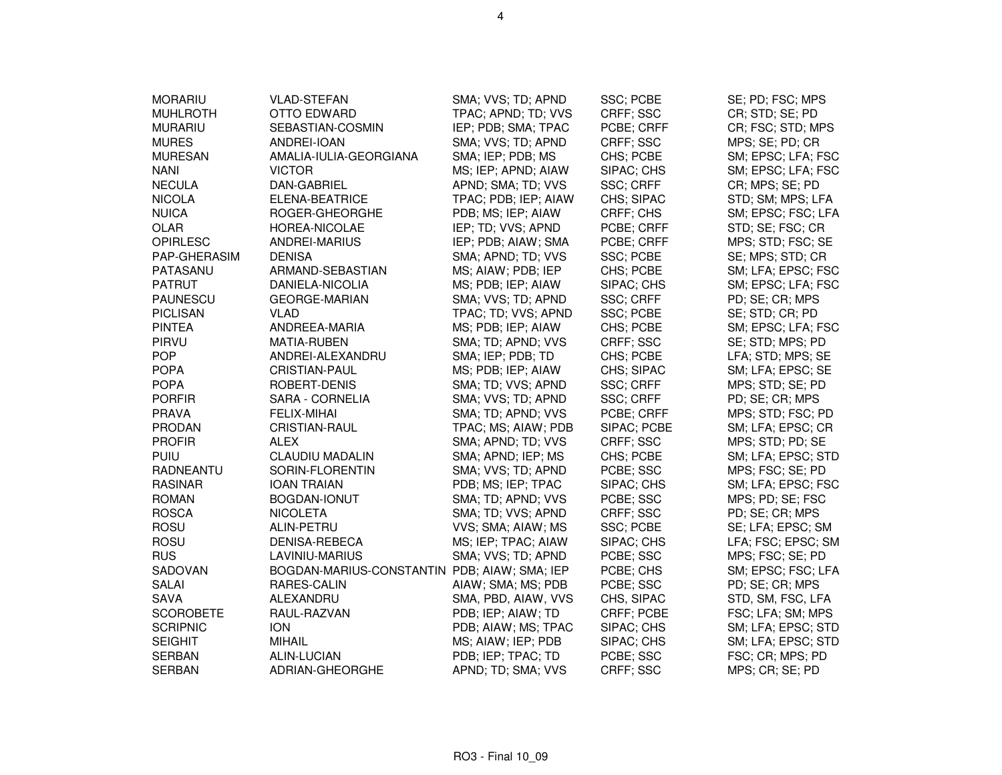| <b>MORARIU</b>   | VLAD-STEFAN                                  | SMA; VVS; TD; APND   | SSC; PCBE        | SE; PD; FSC; MPS   |
|------------------|----------------------------------------------|----------------------|------------------|--------------------|
| <b>MUHLROTH</b>  | OTTO EDWARD                                  | TPAC; APND; TD; VVS  | CRFF; SSC        | CR; STD; SE; PD    |
| <b>MURARIU</b>   | SEBASTIAN-COSMIN                             | IEP; PDB; SMA; TPAC  | PCBE; CRFF       | CR; FSC; STD; MPS  |
| <b>MURES</b>     | ANDREI-IOAN                                  | SMA; VVS; TD; APND   | CRFF; SSC        | MPS; SE; PD; CR    |
| <b>MURESAN</b>   | AMALIA-IULIA-GEORGIANA                       | SMA; IEP; PDB; MS    | CHS; PCBE        | SM; EPSC; LFA; FSC |
| <b>NANI</b>      | <b>VICTOR</b>                                | MS; IEP; APND; AIAW  | SIPAC; CHS       | SM; EPSC; LFA; FSC |
| <b>NECULA</b>    | DAN-GABRIEL                                  | APND; SMA; TD; VVS   | SSC; CRFF        | CR; MPS; SE; PD    |
| <b>NICOLA</b>    | ELENA-BEATRICE                               | TPAC; PDB; IEP; AIAW | CHS; SIPAC       | STD; SM; MPS; LFA  |
| <b>NUICA</b>     | ROGER-GHEORGHE                               | PDB; MS; IEP; AIAW   | CRFF; CHS        | SM; EPSC; FSC; LFA |
| OLAR             | HOREA-NICOLAE                                | IEP; TD; VVS; APND   | PCBE; CRFF       | STD; SE; FSC; CR   |
| <b>OPIRLESC</b>  | ANDREI-MARIUS                                | IEP; PDB; AIAW; SMA  | PCBE; CRFF       | MPS; STD; FSC; SE  |
| PAP-GHERASIM     | <b>DENISA</b>                                | SMA; APND; TD; VVS   | SSC: PCBE        | SE; MPS; STD; CR   |
| PATASANU         | ARMAND-SEBASTIAN                             | MS; AIAW; PDB; IEP   | CHS; PCBE        | SM; LFA; EPSC; FSC |
| <b>PATRUT</b>    | DANIELA-NICOLIA                              | MS; PDB; IEP; AIAW   | SIPAC; CHS       | SM; EPSC; LFA; FSC |
| <b>PAUNESCU</b>  | <b>GEORGE-MARIAN</b>                         | SMA; VVS; TD; APND   | SSC; CRFF        | PD; SE; CR; MPS    |
| <b>PICLISAN</b>  | <b>VLAD</b>                                  | TPAC; TD; VVS; APND  | SSC; PCBE        | SE; STD; CR; PD    |
| <b>PINTEA</b>    | ANDREEA-MARIA                                | MS; PDB; IEP; AIAW   | CHS; PCBE        | SM; EPSC; LFA; FSC |
| PIRVU            | <b>MATIA-RUBEN</b>                           | SMA; TD; APND; VVS   | CRFF; SSC        | SE; STD; MPS; PD   |
| <b>POP</b>       | ANDREI-ALEXANDRU                             | SMA; IEP; PDB; TD    | CHS; PCBE        | LFA; STD; MPS; SE  |
| <b>POPA</b>      | <b>CRISTIAN-PAUL</b>                         | MS; PDB; IEP; AIAW   | CHS; SIPAC       | SM; LFA; EPSC; SE  |
| <b>POPA</b>      | ROBERT-DENIS                                 | SMA; TD; VVS; APND   | SSC; CRFF        | MPS; STD; SE; PD   |
| <b>PORFIR</b>    | SARA - CORNELIA                              | SMA; VVS; TD; APND   | SSC; CRFF        | PD; SE; CR; MPS    |
| <b>PRAVA</b>     | FELIX-MIHAI                                  | SMA; TD; APND; VVS   | PCBE; CRFF       | MPS; STD; FSC; PD  |
| <b>PRODAN</b>    | <b>CRISTIAN-RAUL</b>                         | TPAC; MS; AIAW; PDB  | SIPAC; PCBE      | SM; LFA; EPSC; CR  |
| <b>PROFIR</b>    | <b>ALEX</b>                                  | SMA; APND; TD; VVS   | CRFF; SSC        | MPS; STD; PD; SE   |
| PUIU             | <b>CLAUDIU MADALIN</b>                       | SMA; APND; IEP; MS   | CHS; PCBE        | SM; LFA; EPSC; STD |
| RADNEANTU        | SORIN-FLORENTIN                              | SMA; VVS; TD; APND   | PCBE; SSC        | MPS; FSC; SE; PD   |
| <b>RASINAR</b>   | <b>IOAN TRAIAN</b>                           | PDB; MS; IEP; TPAC   | SIPAC; CHS       | SM; LFA; EPSC; FSC |
| <b>ROMAN</b>     | BOGDAN-IONUT                                 | SMA; TD; APND; VVS   | PCBE; SSC        | MPS; PD; SE; FSC   |
| <b>ROSCA</b>     | <b>NICOLETA</b>                              | SMA; TD; VVS; APND   | CRFF; SSC        | PD; SE; CR; MPS    |
| <b>ROSU</b>      | ALIN-PETRU                                   | VVS; SMA; AIAW; MS   | SSC; PCBE        | SE; LFA; EPSC; SM  |
| <b>ROSU</b>      | DENISA-REBECA                                | MS; IEP; TPAC; AIAW  | SIPAC; CHS       | LFA; FSC; EPSC; SM |
| <b>RUS</b>       | LAVINIU-MARIUS                               | SMA; VVS; TD; APND   | PCBE; SSC        | MPS; FSC; SE; PD   |
| SADOVAN          | BOGDAN-MARIUS-CONSTANTIN PDB; AIAW; SMA; IEP |                      | PCBE; CHS        | SM; EPSC; FSC; LFA |
| <b>SALAI</b>     | RARES-CALIN                                  | AIAW; SMA; MS; PDB   | PCBE; SSC        | PD; SE; CR; MPS    |
| <b>SAVA</b>      | ALEXANDRU                                    | SMA, PBD, AIAW, VVS  | CHS, SIPAC       | STD, SM, FSC, LFA  |
| <b>SCOROBETE</b> | RAUL-RAZVAN                                  | PDB; IEP; AIAW; TD   | CRFF; PCBE       | FSC; LFA; SM; MPS  |
| <b>SCRIPNIC</b>  | <b>ION</b>                                   | PDB; AIAW; MS; TPAC  | SIPAC; CHS       | SM; LFA; EPSC; STD |
| <b>SEIGHIT</b>   | <b>MIHAIL</b>                                | MS; AIAW; IEP; PDB   | SIPAC; CHS       | SM; LFA; EPSC; STD |
| <b>SERBAN</b>    | ALIN-LUCIAN                                  | PDB; IEP; TPAC; TD   | PCBE; SSC        | FSC; CR; MPS; PD   |
| <b>SERBAN</b>    | ADRIAN-GHEORGHE                              | APND; TD; SMA; VVS   | <b>CRFF: SSC</b> | MPS; CR; SE; PD    |